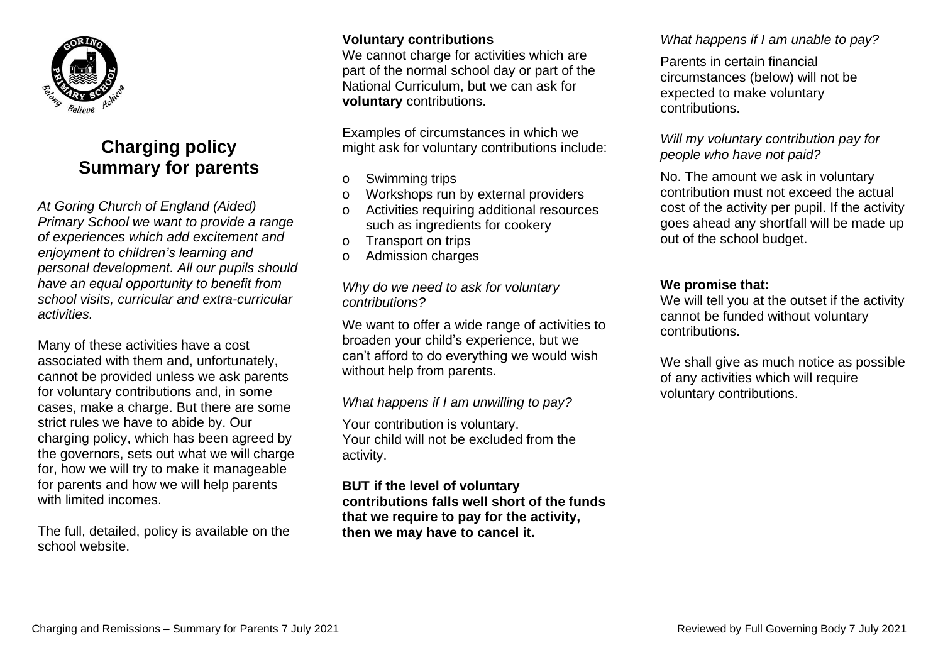

# **Charging policy Summary for parents**

*At Goring Church of England (Aided) Primary School we want to provide a range of experiences which add excitement and enjoyment to children's learning and personal development. All our pupils should have an equal opportunity to benefit from school visits, curricular and extra-curricular activities.* 

Many of these activities have a cost associated with them and, unfortunately, cannot be provided unless we ask parents for voluntary contributions and, in some cases, make a charge. But there are some strict rules we have to abide by. Our charging policy, which has been agreed by the governors, sets out what we will charge for, how we will try to make it manageable for parents and how we will help parents with limited incomes.

The full, detailed, policy is available on the school website.

## **Voluntary contributions**

We cannot charge for activities which are part of the normal school day or part of the National Curriculum, but we can ask for **voluntary** contributions.

Examples of circumstances in which we might ask for voluntary contributions include:

- o Swimming trips
- o Workshops run by external providers
- o Activities requiring additional resources such as ingredients for cookery
- o Transport on trips
- o Admission charges

## *Why do we need to ask for voluntary contributions?*

We want to offer a wide range of activities to broaden your child's experience, but we can't afford to do everything we would wish without help from parents.

# *What happens if I am unwilling to pay?*

Your contribution is voluntary. Your child will not be excluded from the activity.

**BUT if the level of voluntary contributions falls well short of the funds that we require to pay for the activity, then we may have to cancel it.** 

# *What happens if I am unable to pay?*

Parents in certain financial circumstances (below) will not be expected to make voluntary contributions.

#### *Will my voluntary contribution pay for people who have not paid?*

No. The amount we ask in voluntary contribution must not exceed the actual cost of the activity per pupil. If the activity goes ahead any shortfall will be made up out of the school budget.

# **We promise that:**

We will tell you at the outset if the activity cannot be funded without voluntary contributions.

We shall give as much notice as possible of any activities which will require voluntary contributions.